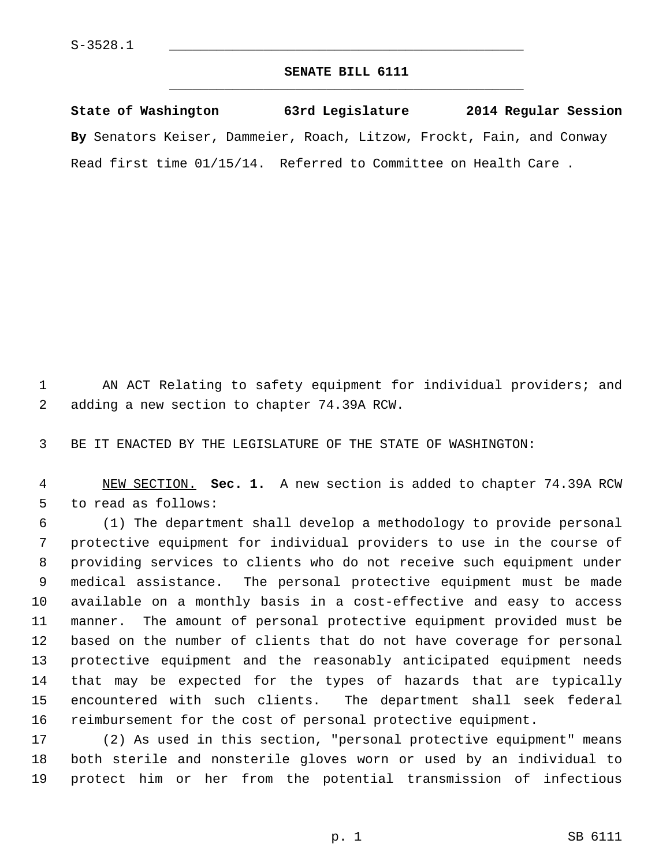## **SENATE BILL 6111** \_\_\_\_\_\_\_\_\_\_\_\_\_\_\_\_\_\_\_\_\_\_\_\_\_\_\_\_\_\_\_\_\_\_\_\_\_\_\_\_\_\_\_\_\_

**State of Washington 63rd Legislature 2014 Regular Session By** Senators Keiser, Dammeier, Roach, Litzow, Frockt, Fain, and Conway Read first time 01/15/14. Referred to Committee on Health Care .

 1 AN ACT Relating to safety equipment for individual providers; and 2 adding a new section to chapter 74.39A RCW.

3 BE IT ENACTED BY THE LEGISLATURE OF THE STATE OF WASHINGTON:

 4 NEW SECTION. **Sec. 1.** A new section is added to chapter 74.39A RCW 5 to read as follows:

 6 (1) The department shall develop a methodology to provide personal 7 protective equipment for individual providers to use in the course of 8 providing services to clients who do not receive such equipment under 9 medical assistance. The personal protective equipment must be made 10 available on a monthly basis in a cost-effective and easy to access 11 manner. The amount of personal protective equipment provided must be 12 based on the number of clients that do not have coverage for personal 13 protective equipment and the reasonably anticipated equipment needs 14 that may be expected for the types of hazards that are typically 15 encountered with such clients. The department shall seek federal 16 reimbursement for the cost of personal protective equipment.

17 (2) As used in this section, "personal protective equipment" means 18 both sterile and nonsterile gloves worn or used by an individual to 19 protect him or her from the potential transmission of infectious